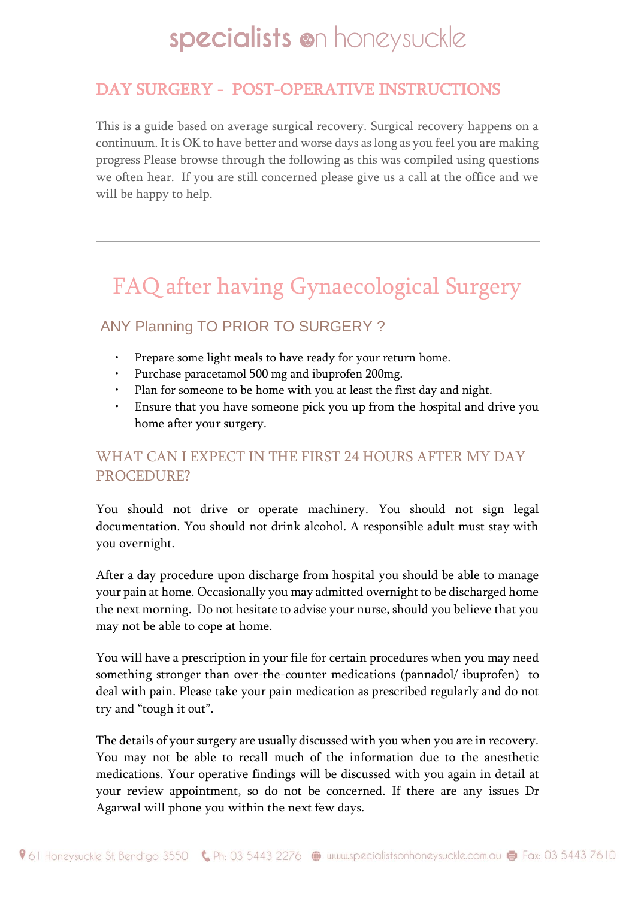## DAY SURGERY - POST-OPERATIVE INSTRUCTIONS

This is a guide based on average surgical recovery. Surgical recovery happens on a continuum. It is OK to have better and worse days as long as you feel you are making progress Please browse through the following as this was compiled using questions we often hear. If you are still concerned please give us a call at the office and we will be happy to help.

## FAQ after having Gynaecological Surgery

### ANY Planning TO PRIOR TO SURGERY ?

- Prepare some light meals to have ready for your return home.
- Purchase paracetamol 500 mg and ibuprofen 200mg.
- Plan for someone to be home with you at least the first day and night.
- Ensure that you have someone pick you up from the hospital and drive you home after your surgery.

### WHAT CAN I EXPECT IN THE FIRST 24 HOURS AFTER MY DAY PROCEDURE?

You should not drive or operate machinery. You should not sign legal documentation. You should not drink alcohol. A responsible adult must stay with you overnight.

After a day procedure upon discharge from hospital you should be able to manage your pain at home. Occasionally you may admitted overnight to be discharged home the next morning. Do not hesitate to advise your nurse, should you believe that you may not be able to cope at home.

You will have a prescription in your file for certain procedures when you may need something stronger than over-the-counter medications (pannadol/ ibuprofen) to deal with pain. Please take your pain medication as prescribed regularly and do not try and "tough it out".

The details of your surgery are usually discussed with you when you are in recovery. You may not be able to recall much of the information due to the anesthetic medications. Your operative findings will be discussed with you again in detail at your review appointment, so do not be concerned. If there are any issues Dr Agarwal will phone you within the next few days.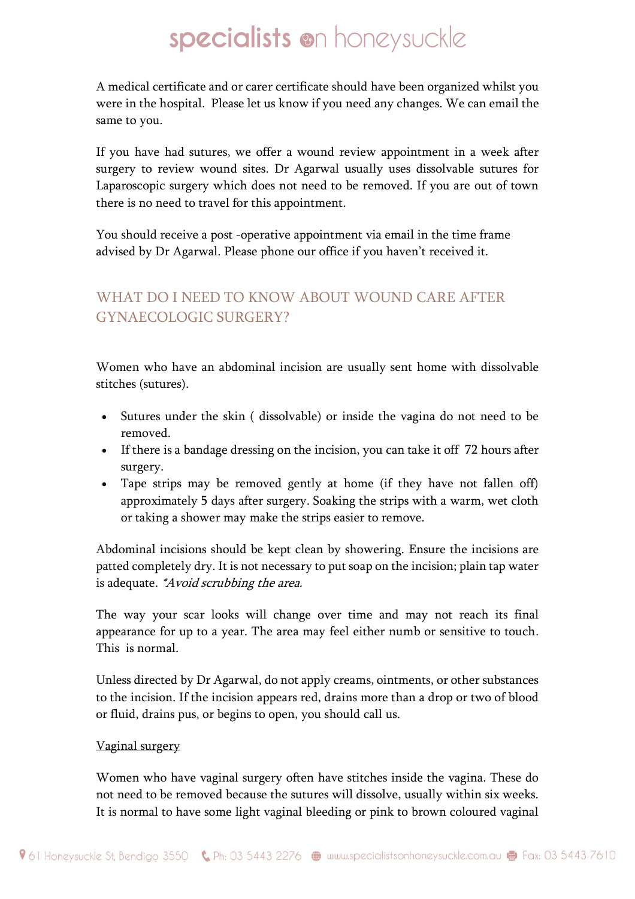A medical certificate and or carer certificate should have been organized whilst you were in the hospital. Please let us know if you need any changes. We can email the same to you.

If you have had sutures, we offer a wound review appointment in a week after surgery to review wound sites. Dr Agarwal usually uses dissolvable sutures for Laparoscopic surgery which does not need to be removed. If you are out of town there is no need to travel for this appointment.

You should receive a post -operative appointment via email in the time frame advised by Dr Agarwal. Please phone our office if you haven't received it.

## WHAT DO I NEED TO KNOW ABOUT WOUND CARE AFTER GYNAECOLOGIC SURGERY?

Women who have an abdominal incision are usually sent home with dissolvable stitches (sutures).

- Sutures under the skin ( dissolvable) or inside the vagina do not need to be removed.
- If there is a bandage dressing on the incision, you can take it off 72 hours after surgery.
- Tape strips may be removed gently at home (if they have not fallen off) approximately 5 days after surgery. Soaking the strips with a warm, wet cloth or taking a shower may make the strips easier to remove.

Abdominal incisions should be kept clean by showering. Ensure the incisions are patted completely dry. It is not necessary to put soap on the incision; plain tap water is adequate. *\*Avoid scrubbing the area.* 

The way your scar looks will change over time and may not reach its final appearance for up to a year. The area may feel either numb or sensitive to touch. This is normal.

Unless directed by Dr Agarwal, do not apply creams, ointments, or other substances to the incision. If the incision appears red, drains more than a drop or two of blood or fluid, drains pus, or begins to open, you should call us.

#### Vaginal surgery

Women who have vaginal surgery often have stitches inside the vagina. These do not need to be removed because the sutures will dissolve, usually within six weeks. It is normal to have some light vaginal bleeding or pink to brown coloured vaginal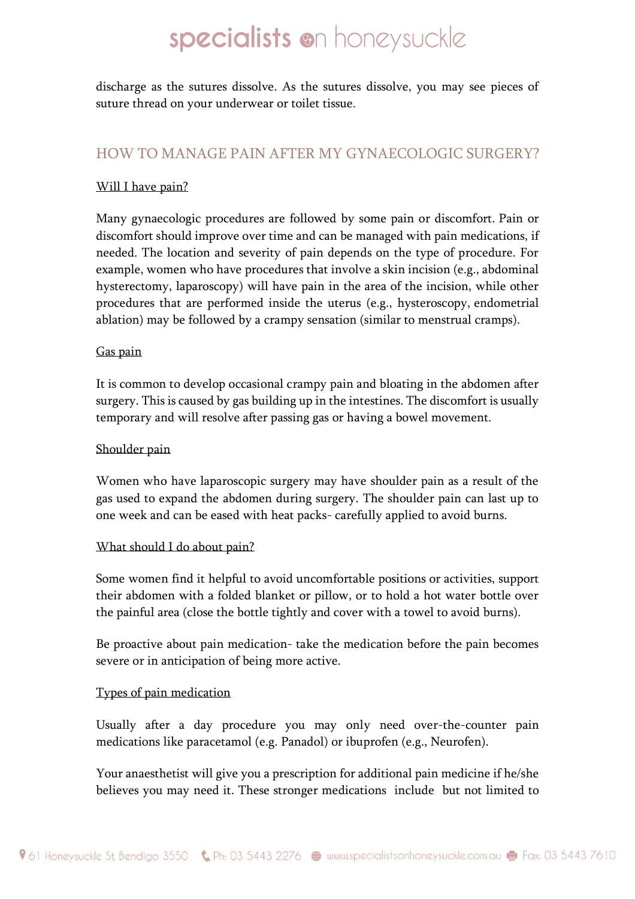discharge as the sutures dissolve. As the sutures dissolve, you may see pieces of suture thread on your underwear or toilet tissue.

#### HOW TO MANAGE PAIN AFTER MY GYNAECOLOGIC SURGERY?

#### Will I have pain?

Many gynaecologic procedures are followed by some pain or discomfort. Pain or discomfort should improve over time and can be managed with pain medications, if needed. The location and severity of pain depends on the type of procedure. For example, women who have procedures that involve a skin incision (e.g., abdominal hysterectomy, laparoscopy) will have pain in the area of the incision, while other procedures that are performed inside the uterus (e.g., hysteroscopy, endometrial ablation) may be followed by a crampy sensation (similar to menstrual cramps).

#### Gas pain

It is common to develop occasional crampy pain and bloating in the abdomen after surgery. This is caused by gas building up in the intestines. The discomfort is usually temporary and will resolve after passing gas or having a bowel movement.

#### Shoulder pain

Women who have laparoscopic surgery may have shoulder pain as a result of the gas used to expand the abdomen during surgery. The shoulder pain can last up to one week and can be eased with heat packs- carefully applied to avoid burns.

#### What should I do about pain?

Some women find it helpful to avoid uncomfortable positions or activities, support their abdomen with a folded blanket or pillow, or to hold a hot water bottle over the painful area (close the bottle tightly and cover with a towel to avoid burns).

Be proactive about pain medication- take the medication before the pain becomes severe or in anticipation of being more active.

#### Types of pain medication

Usually after a day procedure you may only need over-the-counter pain medications like paracetamol (e.g. Panadol) or ibuprofen (e.g., Neurofen).

Your anaesthetist will give you a prescription for additional pain medicine if he/she believes you may need it. These stronger medications include but not limited to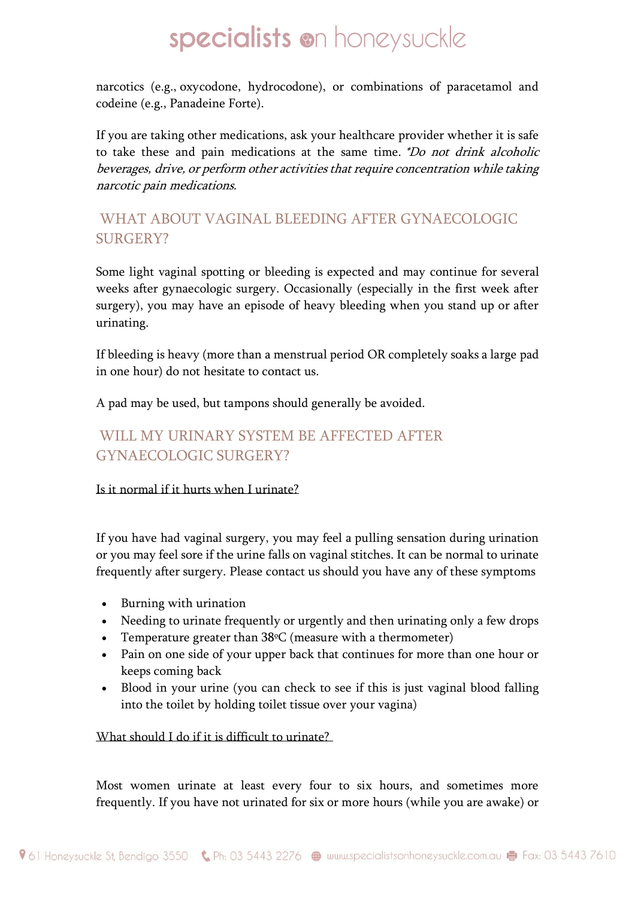narcotics (e.g., oxycodone, hydrocodone), or combinations of paracetamol and codeine (e.g., Panadeine Forte).

If you are taking other medications, ask your healthcare provider whether it is safe to take these and pain medications at the same time. \*Do not drink alcoholic beverages, drive, or perform other activities that require concentration while taking narcotic pain medications.

### WHAT ABOUT VAGINAL BLEEDING AFTER GYNAECOLOGIC SURGERY?

Some light vaginal spotting or bleeding is expected and may continue for several weeks after gynaecologic surgery. Occasionally (especially in the first week after surgery), you may have an episode of heavy bleeding when you stand up or after urinating.

If bleeding is heavy (more than a menstrual period OR completely soaks a large pad in one hour) do not hesitate to contact us.

A pad may be used, but tampons should generally be avoided.

### WILL MY URINARY SYSTEM BE AFFECTED AFTER GYNAECOLOGIC SURGERY?

#### Is it normal if it hurts when I urinate?

If you have had vaginal surgery, you may feel a pulling sensation during urination or you may feel sore if the urine falls on vaginal stitches. It can be normal to urinate frequently after surgery. Please contact us should you have any of these symptoms

- Burning with urination
- Needing to urinate frequently or urgently and then urinating only a few drops
- Temperature greater than  $38\degree$ C (measure with a thermometer)
- Pain on one side of your upper back that continues for more than one hour or keeps coming back
- Blood in your urine (you can check to see if this is just vaginal blood falling into the toilet by holding toilet tissue over your vagina)

What should I do if it is difficult to urinate?

Most women urinate at least every four to six hours, and sometimes more frequently. If you have not urinated for six or more hours (while you are awake) or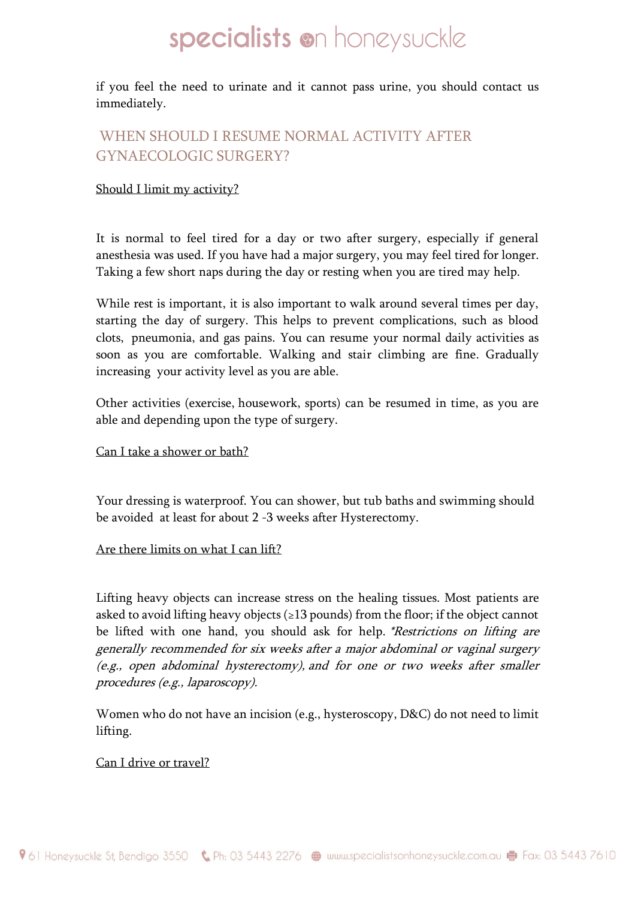if you feel the need to urinate and it cannot pass urine, you should contact us immediately.

### WHEN SHOULD I RESUME NORMAL ACTIVITY AFTER GYNAECOLOGIC SURGERY?

#### Should I limit my activity?

It is normal to feel tired for a day or two after surgery, especially if general anesthesia was used. If you have had a major surgery, you may feel tired for longer. Taking a few short naps during the day or resting when you are tired may help.

While rest is important, it is also important to walk around several times per day, starting the day of surgery. This helps to prevent complications, such as blood clots, pneumonia, and gas pains. You can resume your normal daily activities as soon as you are comfortable. Walking and stair climbing are fine. Gradually increasing your activity level as you are able.

Other activities (exercise, housework, sports) can be resumed in time, as you are able and depending upon the type of surgery.

#### Can I take a shower or bath?

Your dressing is waterproof. You can shower, but tub baths and swimming should be avoided at least for about 2 -3 weeks after Hysterectomy.

#### Are there limits on what I can lift?

Lifting heavy objects can increase stress on the healing tissues. Most patients are asked to avoid lifting heavy objects ( $\geq$ 13 pounds) from the floor; if the object cannot be lifted with one hand, you should ask for help. *\*Restrictions on lifting are* generally recommended for six weeks after a major abdominal or vaginal surgery (e.g., open abdominal hysterectomy), and for one or two weeks after smaller procedures (e.g., laparoscopy).

Women who do not have an incision (e.g., hysteroscopy, D&C) do not need to limit lifting.

#### Can I drive or travel?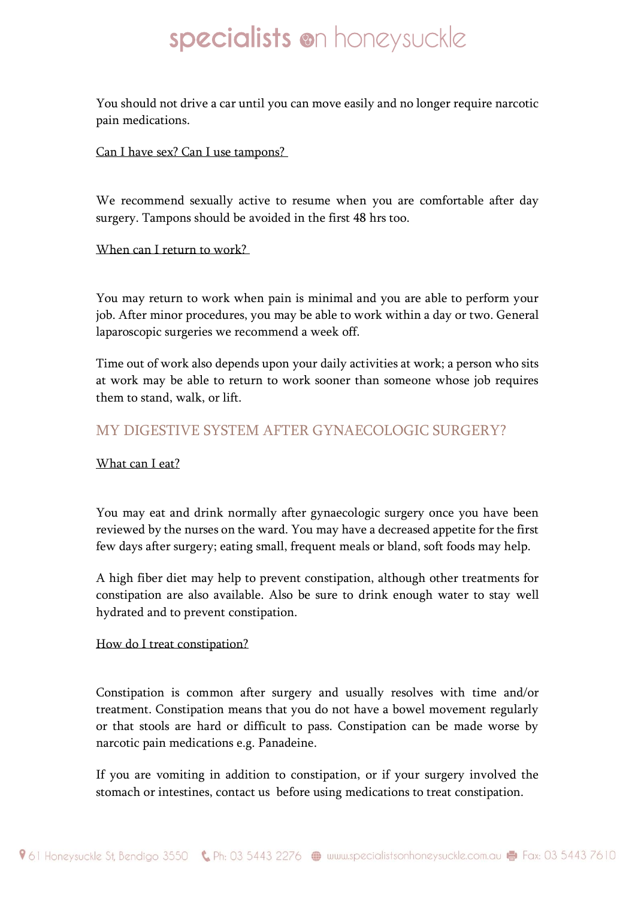You should not drive a car until you can move easily and no longer require narcotic pain medications.

#### Can I have sex? Can I use tampons?

We recommend sexually active to resume when you are comfortable after day surgery. Tampons should be avoided in the first 48 hrs too.

#### When can I return to work?

You may return to work when pain is minimal and you are able to perform your job. After minor procedures, you may be able to work within a day or two. General laparoscopic surgeries we recommend a week off.

Time out of work also depends upon your daily activities at work; a person who sits at work may be able to return to work sooner than someone whose job requires them to stand, walk, or lift.

#### MY DIGESTIVE SYSTEM AFTER GYNAECOLOGIC SURGERY?

#### What can I eat?

You may eat and drink normally after gynaecologic surgery once you have been reviewed by the nurses on the ward. You may have a decreased appetite for the first few days after surgery; eating small, frequent meals or bland, soft foods may help.

A high fiber diet may help to prevent constipation, although other treatments for constipation are also available. Also be sure to drink enough water to stay well hydrated and to prevent constipation.

#### How do I treat constipation?

Constipation is common after surgery and usually resolves with time and/or treatment. Constipation means that you do not have a bowel movement regularly or that stools are hard or difficult to pass. Constipation can be made worse by narcotic pain medications e.g. Panadeine.

If you are vomiting in addition to constipation, or if your surgery involved the stomach or intestines, contact us before using medications to treat constipation.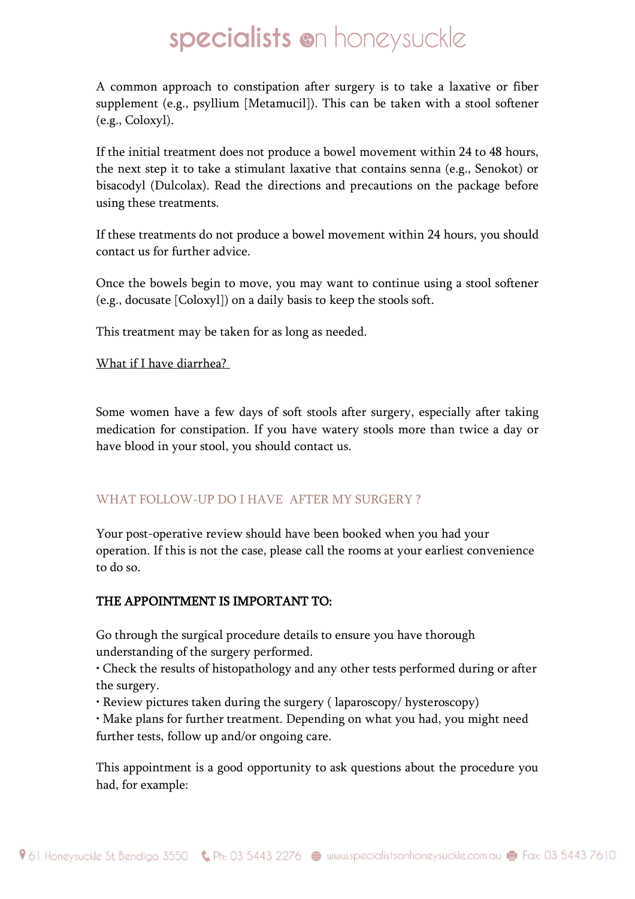A common approach to constipation after surgery is to take a laxative or fiber supplement (e.g., psyllium [Metamucil]). This can be taken with a stool softener (e.g., Coloxyl).

If the initial treatment does not produce a bowel movement within 24 to 48 hours, the next step it to take a stimulant laxative that contains senna (e.g., Senokot) or bisacodyl (Dulcolax). Read the directions and precautions on the package before using these treatments.

If these treatments do not produce a bowel movement within 24 hours, you should contact us for further advice.

Once the bowels begin to move, you may want to continue using a stool softener (e.g., docusate [Coloxyl]) on a daily basis to keep the stools soft.

This treatment may be taken for as long as needed.

What if I have diarrhea?

Some women have a few days of soft stools after surgery, especially after taking medication for constipation. If you have watery stools more than twice a day or have blood in your stool, you should contact us.

#### WHAT FOLLOW-UP DO I HAVE AFTER MY SURGERY?

Your post-operative review should have been booked when you had your operation. If this is not the case, please call the rooms at your earliest convenience to do so.

#### THE APPOINTMENT IS IMPORTANT TO:

Go through the surgical procedure details to ensure you have thorough understanding of the surgery performed.

• Check the results of histopathology and any other tests performed during or after the surgery.

• Review pictures taken during the surgery ( laparoscopy/ hysteroscopy)

• Make plans for further treatment. Depending on what you had, you might need further tests, follow up and/or ongoing care.

This appointment is a good opportunity to ask questions about the procedure you had, for example: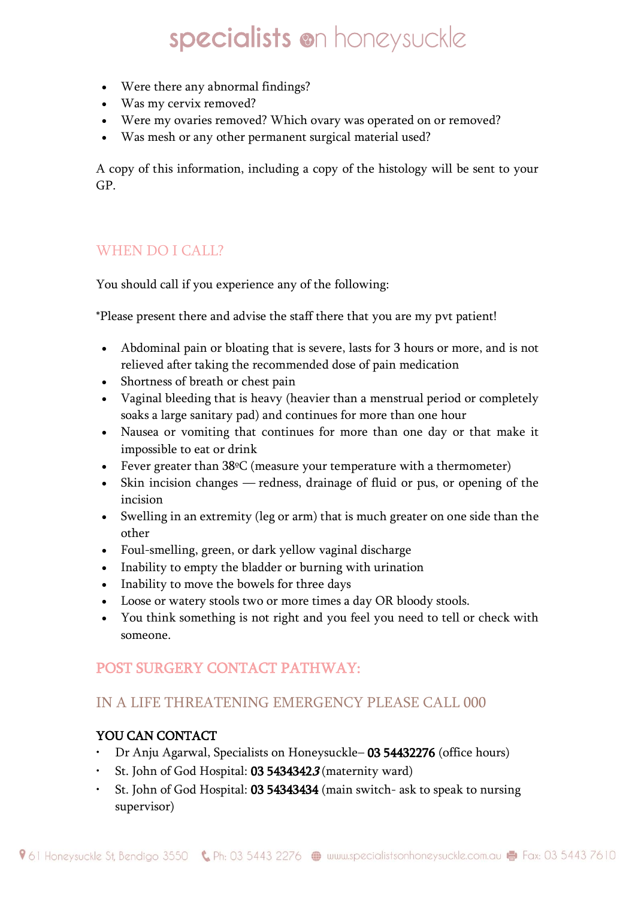- Were there any abnormal findings?
- Was my cervix removed?
- Were my ovaries removed? Which ovary was operated on or removed?
- Was mesh or any other permanent surgical material used?

A copy of this information, including a copy of the histology will be sent to your GP.

### WHEN DO I CALL?

You should call if you experience any of the following:

\*Please present there and advise the staff there that you are my pvt patient!

- Abdominal pain or bloating that is severe, lasts for 3 hours or more, and is not relieved after taking the recommended dose of pain medication
- Shortness of breath or chest pain
- Vaginal bleeding that is heavy (heavier than a menstrual period or completely soaks a large sanitary pad) and continues for more than one hour
- Nausea or vomiting that continues for more than one day or that make it impossible to eat or drink
- Fever greater than 38<sup>o</sup>C (measure your temperature with a thermometer)
- Skin incision changes redness, drainage of fluid or pus, or opening of the incision
- Swelling in an extremity (leg or arm) that is much greater on one side than the other
- Foul-smelling, green, or dark yellow vaginal discharge
- Inability to empty the bladder or burning with urination
- Inability to move the bowels for three days
- Loose or watery stools two or more times a day OR bloody stools.
- You think something is not right and you feel you need to tell or check with someone.

### POST SURGERY CONTACT PATHWAY:

### IN A LIFE THREATENING EMERGENCY PLEASE CALL 000

#### YOU CAN CONTACT

- Dr Anju Agarwal, Specialists on Honeysuckle– 03 54432276 (office hours)
- St. John of God Hospital:  $0354343423$  (maternity ward)
- St. John of God Hospital: 03 54343434 (main switch- ask to speak to nursing supervisor)